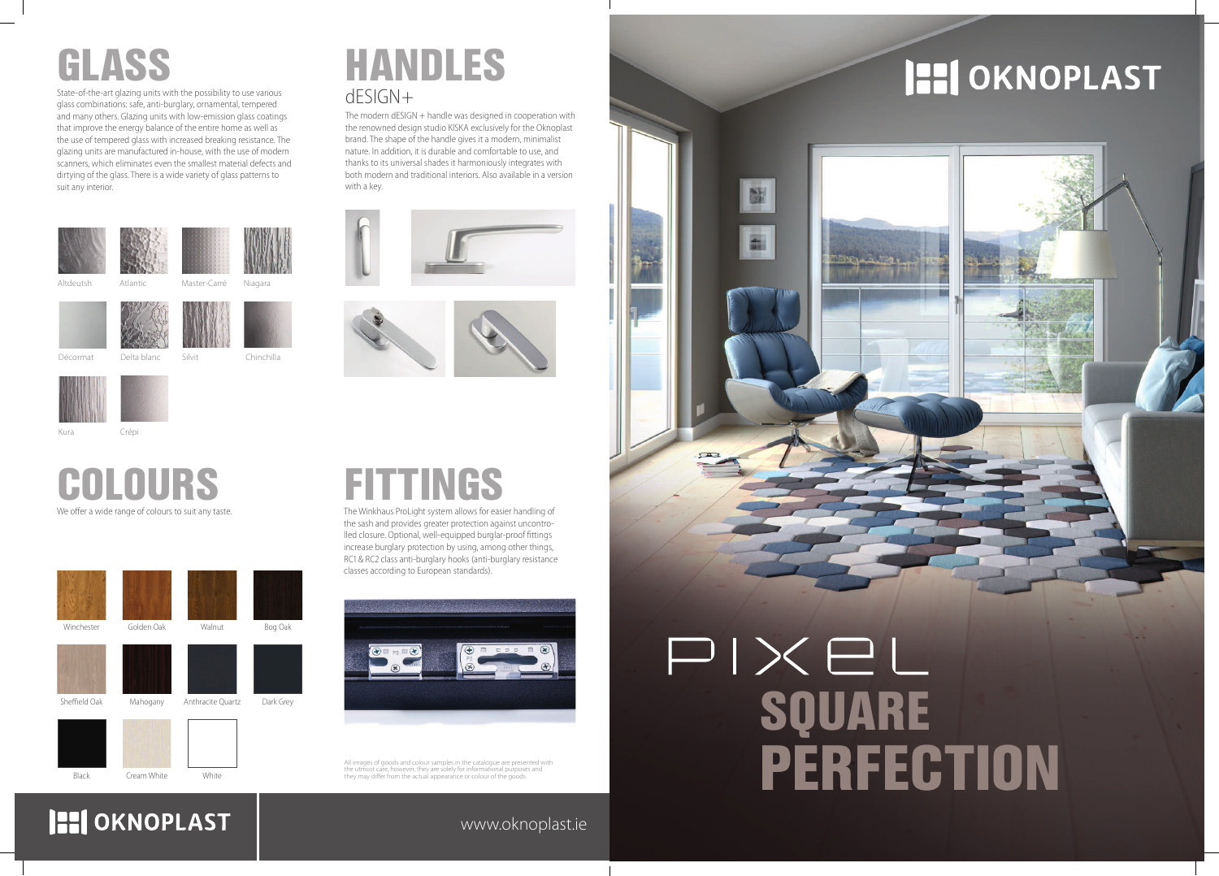

## **HI OKNOPLAST**

### www.oknoplast.ie

All images of goods and colour samples in the catalogue are presented with the utmost care, however, they are solely for informational purposes and the atmost early, newever, they are solely for informational parpose they may differ from the actual appearance or colour of the goods.

We offer a wide range of colours to suit any taste.

# COLOURS





# GLASS

State-of-the-art glazing units with the possibility to use various glass combinations: safe, anti-burglary, ornamental, tempered and many others. Glazing units with low-emission glass coatings that improve the energy balance of the entire home as well as the use of tempered glass with increased breaking resistance. The glazing units are manufactured in-house, with the use of modern scanners, which eliminates even the smallest material defects and dirtying of the glass. There is a wide variety of glass patterns to suit any interior.

## dESIGN+ HANDLES

The modern dESIGN + handle was designed in cooperation with the renowned design studio KISKA exclusively for the Oknoplast brand. The shape of the handle gives it a modern, minimalist nature. In addition, it is durable and comfortable to use, and thanks to its universal shades it harmoniously integrates with both modern and traditional interiors. Also available in a version with a key.





# **FITTINGS**

The Winkhaus ProLight system allows for easier handling of the sash and provides greater protection against uncontrolled closure. Optional, well-equipped burglar-proof fittings increase burglary protection by using, among other things, RC1 & RC2 class anti-burglary hooks (anti-burglary resistance classes according to European standards).